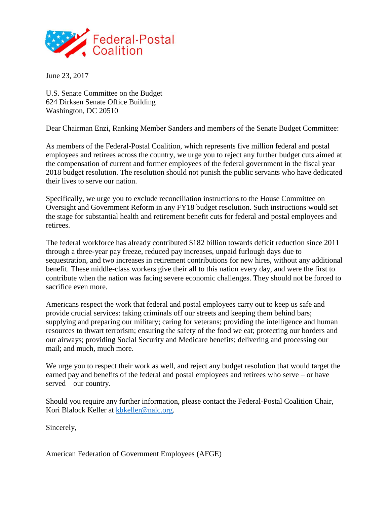

June 23, 2017

U.S. Senate Committee on the Budget 624 Dirksen Senate Office Building Washington, DC 20510

Dear Chairman Enzi, Ranking Member Sanders and members of the Senate Budget Committee:

As members of the Federal-Postal Coalition, which represents five million federal and postal employees and retirees across the country, we urge you to reject any further budget cuts aimed at the compensation of current and former employees of the federal government in the fiscal year 2018 budget resolution. The resolution should not punish the public servants who have dedicated their lives to serve our nation.

Specifically, we urge you to exclude reconciliation instructions to the House Committee on Oversight and Government Reform in any FY18 budget resolution. Such instructions would set the stage for substantial health and retirement benefit cuts for federal and postal employees and retirees.

The federal workforce has already contributed \$182 billion towards deficit reduction since 2011 through a three-year pay freeze, reduced pay increases, unpaid furlough days due to sequestration, and two increases in retirement contributions for new hires, without any additional benefit. These middle-class workers give their all to this nation every day, and were the first to contribute when the nation was facing severe economic challenges. They should not be forced to sacrifice even more.

Americans respect the work that federal and postal employees carry out to keep us safe and provide crucial services: taking criminals off our streets and keeping them behind bars; supplying and preparing our military; caring for veterans; providing the intelligence and human resources to thwart terrorism; ensuring the safety of the food we eat; protecting our borders and our airways; providing Social Security and Medicare benefits; delivering and processing our mail; and much, much more.

We urge you to respect their work as well, and reject any budget resolution that would target the earned pay and benefits of the federal and postal employees and retirees who serve – or have served – our country.

Should you require any further information, please contact the Federal-Postal Coalition Chair, Kori Blalock Keller at [kbkeller@nalc.org.](mailto:kbkeller@nalc.org)

Sincerely,

American Federation of Government Employees (AFGE)